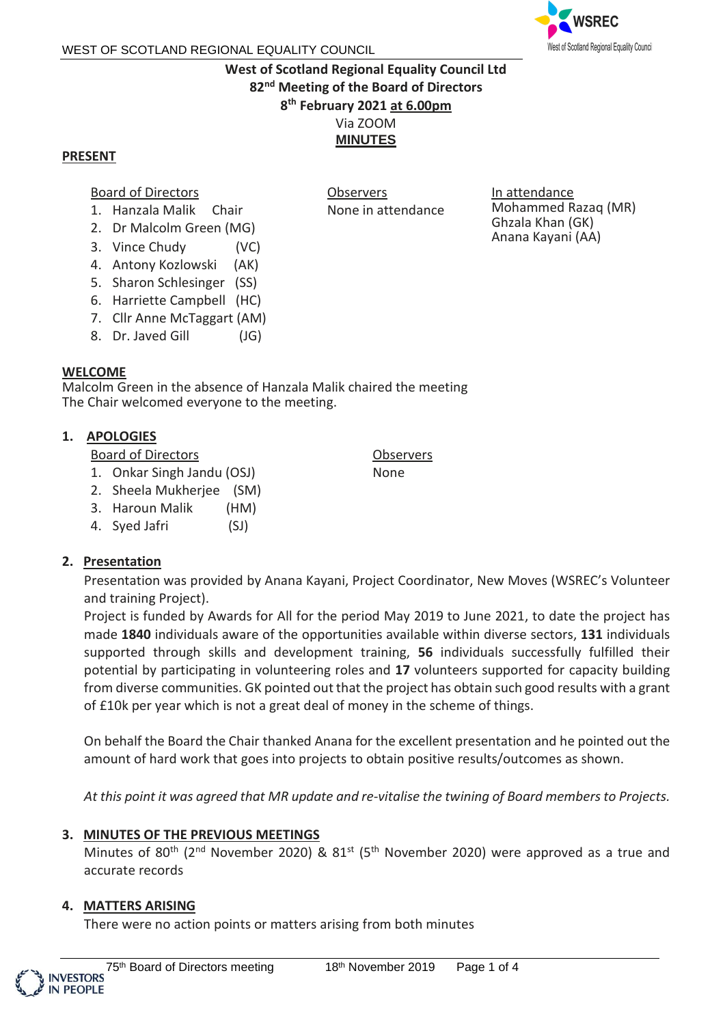

# **West of Scotland Regional Equality Council Ltd 82 nd Meeting of the Board of Directors 8 th February 2021 at 6.00pm** Via ZOOM **MINUTES**

**Observers** 

None in attendance

#### **PRESENT**

#### Board of Directors

- 1. Hanzala Malik Chair
- 2. Dr Malcolm Green (MG)
- 3. Vince Chudy (VC)
- 4. Antony Kozlowski (AK)
- 5. Sharon Schlesinger (SS)
- 6. Harriette Campbell (HC)
- 7. Cllr Anne McTaggart (AM)
- 8. Dr. Javed Gill (JG)

### **WELCOME**

Malcolm Green in the absence of Hanzala Malik chaired the meeting The Chair welcomed everyone to the meeting.

### **1. APOLOGIES**

Board of Directors

- 1. Onkar Singh Jandu (OSJ)
- 2. Sheela Mukherjee (SM)
- 3. Haroun Malik (HM)
- 4. Syed Jafri (SJ)

# **2. Presentation**

Presentation was provided by Anana Kayani, Project Coordinator, New Moves (WSREC's Volunteer and training Project).

Observers None

Project is funded by Awards for All for the period May 2019 to June 2021, to date the project has made **1840** individuals aware of the opportunities available within diverse sectors, **131** individuals supported through skills and development training, **56** individuals successfully fulfilled their potential by participating in volunteering roles and **17** volunteers supported for capacity building from diverse communities. GK pointed out that the project has obtain such good results with a grant of £10k per year which is not a great deal of money in the scheme of things.

On behalf the Board the Chair thanked Anana for the excellent presentation and he pointed out the amount of hard work that goes into projects to obtain positive results/outcomes as shown.

*At this point it was agreed that MR update and re-vitalise the twining of Board members to Projects.*

# **3. MINUTES OF THE PREVIOUS MEETINGS**

Minutes of 80<sup>th</sup> (2<sup>nd</sup> November 2020) & 81<sup>st</sup> (5<sup>th</sup> November 2020) were approved as a true and accurate records

#### **4. MATTERS ARISING**

There were no action points or matters arising from both minutes

#### In attendance Mohammed Razaq (MR) Ghzala Khan (GK) Anana Kayani (AA)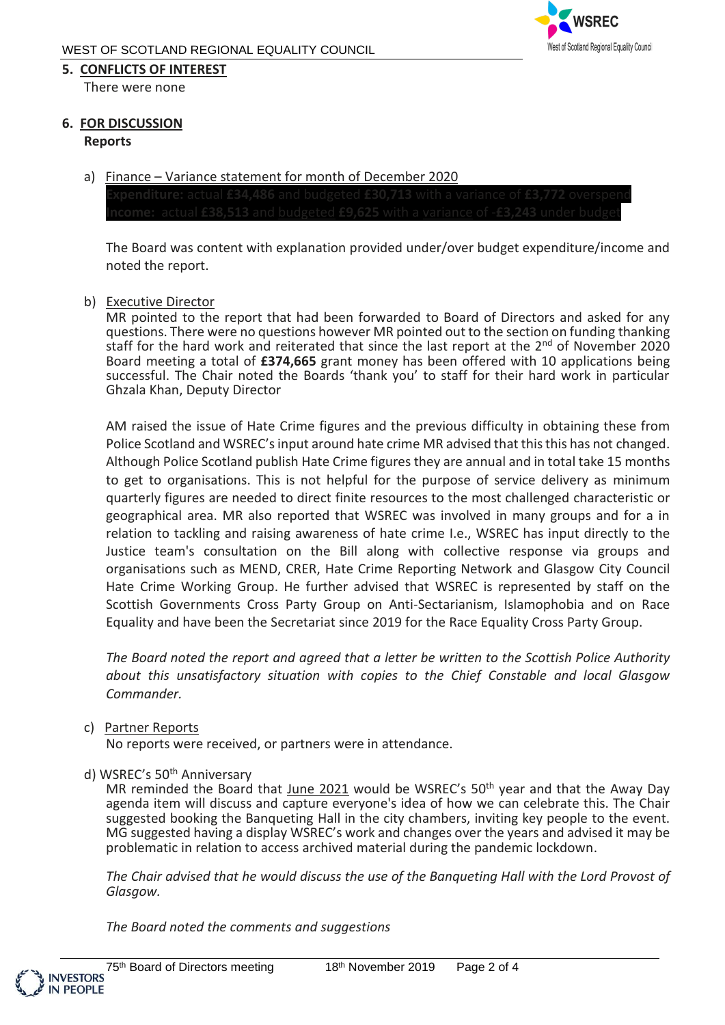#### **5. CONFLICTS OF INTEREST**

There were none

#### **6. FOR DISCUSSION**

#### **Reports**

a) Finance - Variance statement for month of December 2020

The Board was content with explanation provided under/over budget expenditure/income and noted the report.

b) Executive Director

MR pointed to the report that had been forwarded to Board of Directors and asked for any questions. There were no questions however MR pointed out to the section on funding thanking staff for the hard work and reiterated that since the last report at the  $2<sup>nd</sup>$  of November 2020 Board meeting a total of **£374,665** grant money has been offered with 10 applications being successful. The Chair noted the Boards 'thank you' to staff for their hard work in particular Ghzala Khan, Deputy Director

AM raised the issue of Hate Crime figures and the previous difficulty in obtaining these from Police Scotland and WSREC's input around hate crime MR advised that this this has not changed. Although Police Scotland publish Hate Crime figures they are annual and in total take 15 months to get to organisations. This is not helpful for the purpose of service delivery as minimum quarterly figures are needed to direct finite resources to the most challenged characteristic or geographical area. MR also reported that WSREC was involved in many groups and for a in relation to tackling and raising awareness of hate crime I.e., WSREC has input directly to the Justice team's consultation on the Bill along with collective response via groups and organisations such as MEND, CRER, Hate Crime Reporting Network and Glasgow City Council Hate Crime Working Group. He further advised that WSREC is represented by staff on the Scottish Governments Cross Party Group on Anti-Sectarianism, Islamophobia and on Race Equality and have been the Secretariat since 2019 for the Race Equality Cross Party Group.

*The Board noted the report and agreed that a letter be written to the Scottish Police Authority about this unsatisfactory situation with copies to the Chief Constable and local Glasgow Commander.*

#### c) Partner Reports

No reports were received, or partners were in attendance.

#### d) WSREC's 50<sup>th</sup> Anniversary

MR reminded the Board that June 2021 would be WSREC's 50<sup>th</sup> year and that the Away Day agenda item will discuss and capture everyone's idea of how we can celebrate this. The Chair suggested booking the Banqueting Hall in the city chambers, inviting key people to the event. MG suggested having a display WSREC's work and changes over the years and advised it may be problematic in relation to access archived material during the pandemic lockdown.

*The Chair advised that he would discuss the use of the Banqueting Hall with the Lord Provost of Glasgow.*

*The Board noted the comments and suggestions*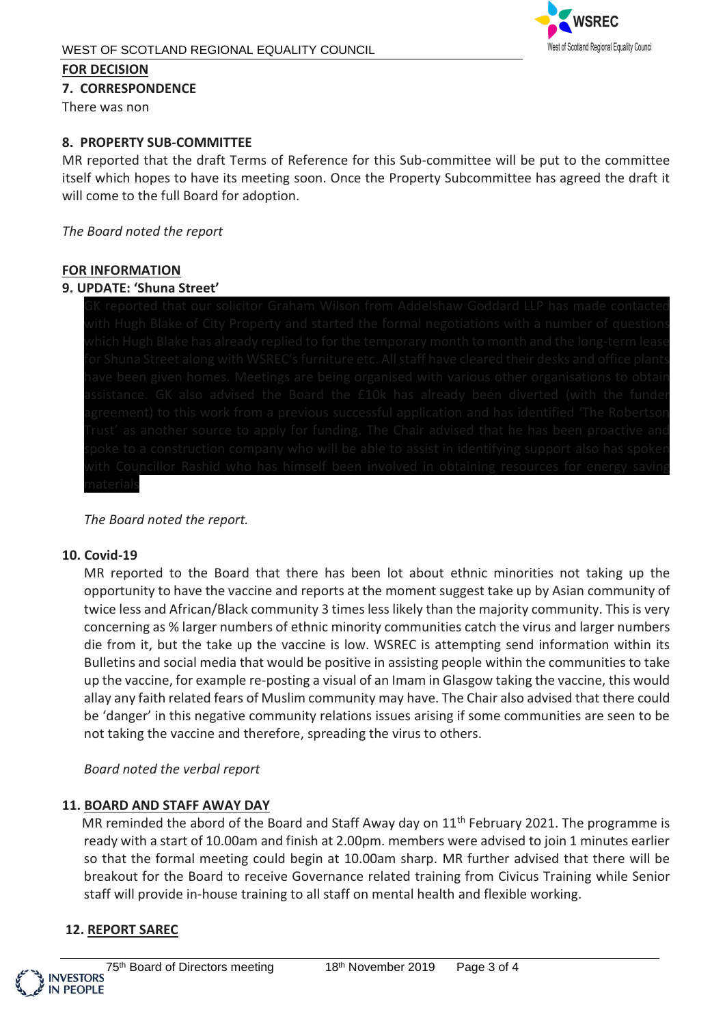

### **FOR DECISION**

**7. CORRESPONDENCE**

There was non

# **8. PROPERTY SUB-COMMITTEE**

MR reported that the draft Terms of Reference for this Sub-committee will be put to the committee itself which hopes to have its meeting soon. Once the Property Subcommittee has agreed the draft it will come to the full Board for adoption.

# *The Board noted the report*

# **FOR INFORMATION**

# **9. UPDATE: 'Shuna Street'**

# *The Board noted the report.*

# **10. Covid-19**

MR reported to the Board that there has been lot about ethnic minorities not taking up the opportunity to have the vaccine and reports at the moment suggest take up by Asian community of twice less and African/Black community 3 times less likely than the majority community. This is very concerning as % larger numbers of ethnic minority communities catch the virus and larger numbers die from it, but the take up the vaccine is low. WSREC is attempting send information within its Bulletins and social media that would be positive in assisting people within the communities to take up the vaccine, for example re-posting a visual of an Imam in Glasgow taking the vaccine, this would allay any faith related fears of Muslim community may have. The Chair also advised that there could be 'danger' in this negative community relations issues arising if some communities are seen to be not taking the vaccine and therefore, spreading the virus to others.

# *Board noted the verbal report*

# **11. BOARD AND STAFF AWAY DAY**

MR reminded the abord of the Board and Staff Away day on  $11<sup>th</sup>$  February 2021. The programme is ready with a start of 10.00am and finish at 2.00pm. members were advised to join 1 minutes earlier so that the formal meeting could begin at 10.00am sharp. MR further advised that there will be breakout for the Board to receive Governance related training from Civicus Training while Senior staff will provide in-house training to all staff on mental health and flexible working.

# **12. REPORT SAREC**